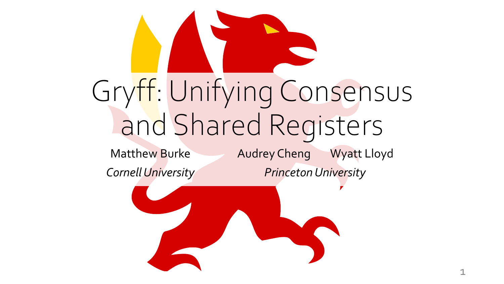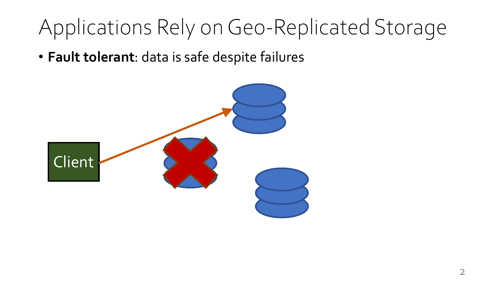### Applications Rely on Geo-Replicated Storage

• **Fault tolerant**: data is safe despite failures

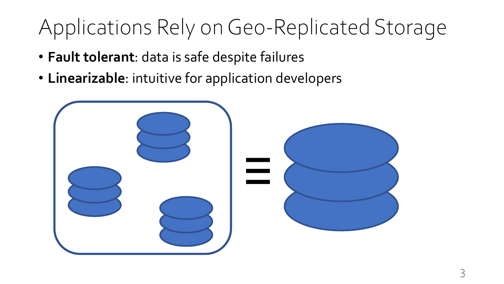### Applications Rely on Geo-Replicated Storage

- **Fault tolerant**: data is safe despite failures
- **Linearizable**: intuitive for application developers

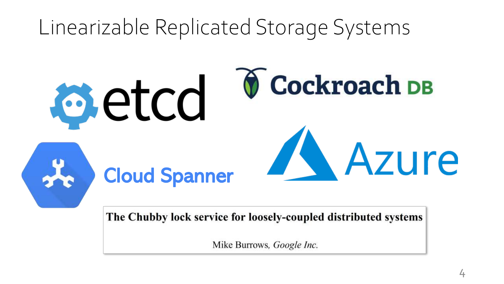### Linearizable Replicated Storage Systems



The Chubby lock service for loosely-coupled distributed systems

Mike Burrows, *Google Inc.*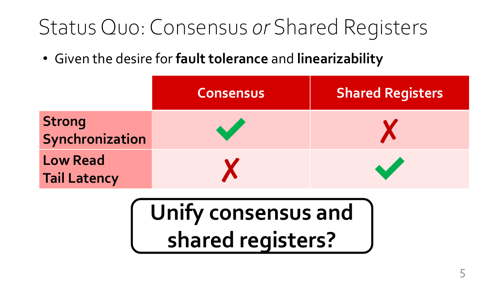### Status Quo: Consensus *or* Shared Registers

• Given the desire for **fault tolerance** and **linearizability**

|                                        | <b>Consensus</b> | <b>Shared Registers</b> |
|----------------------------------------|------------------|-------------------------|
| <b>Strong</b><br>Synchronization       |                  |                         |
| <b>Low Read</b><br><b>Tail Latency</b> |                  |                         |

## **Unify consensus and shared registers?**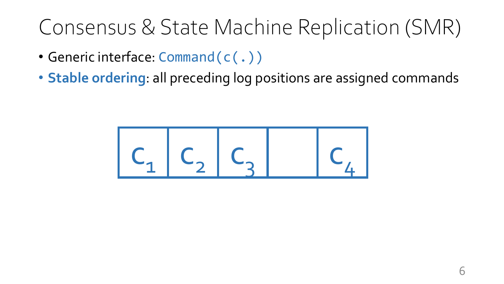### Consensus & State Machine Replication (SMR)

- Generic interface: Command(c(.))
- **Stable ordering**: all preceding log positions are assigned commands

$$
C_1 C_2 C_3 C_4
$$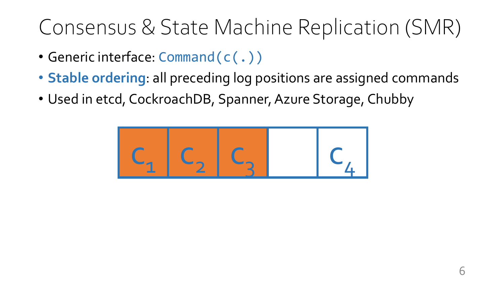### Consensus & State Machine Replication (SMR)

- Generic interface: Command(c(.))
- **Stable ordering**: all preceding log positions are assigned commands
- Used in etcd, CockroachDB, Spanner, Azure Storage, Chubby

$$
C_1 C_2 C_3 C_4
$$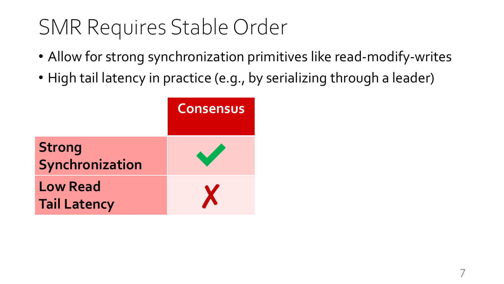### SMR Requires Stable Order

- Allow for strong synchronization primitives like read-modify-writes
- High tail latency in practice (e.g., by serializing through a leader)

|                                        | <b>Consensus</b> |
|----------------------------------------|------------------|
| <b>Strong</b><br>Synchronization       |                  |
| <b>Low Read</b><br><b>Tail Latency</b> | X                |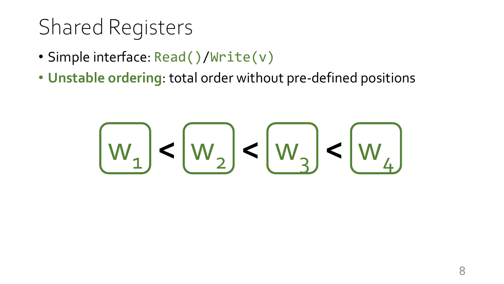### Shared Registers

- Simple interface: Read()/Write(v)
- **Unstable ordering**: total order without pre-defined positions

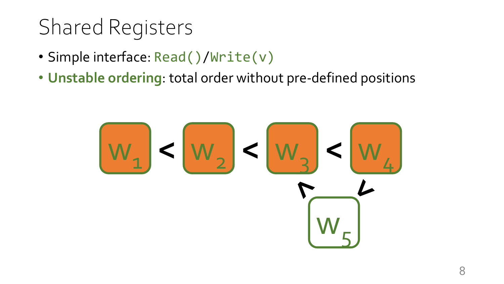## Shared Registers

- Simple interface: Read()/Write(v)
- **Unstable ordering**: total order without pre-defined positions

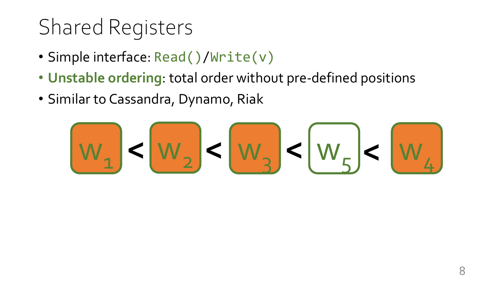## Shared Registers

- Simple interface: Read()/Write(v)
- **Unstable ordering**: total order without pre-defined positions
- Similar to Cassandra, Dynamo, Riak

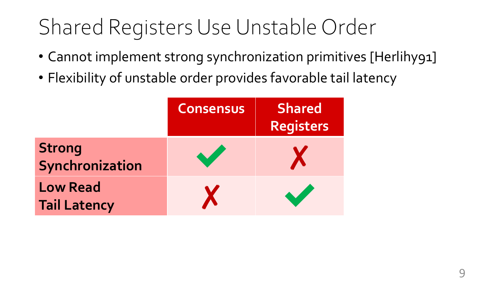### Shared Registers Use Unstable Order

- Cannot implement strong synchronization primitives [Herlihy91]
- Flexibility of unstable order provides favorable tail latency

|                                        | <b>Consensus</b> | <b>Shared</b><br>Registers |
|----------------------------------------|------------------|----------------------------|
| <b>Strong</b><br>Synchronization       | <b>Self</b>      |                            |
| <b>Low Read</b><br><b>Tail Latency</b> |                  |                            |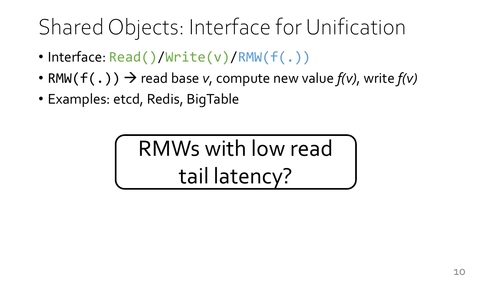### Shared Objects: Interface for Unification

- Interface: Read()/Write(v)/RMW(f(.))
- RMW( $f(.)$ )  $\rightarrow$  read base *v*, compute new value  $f(v)$ , write  $f(v)$
- Examples: etcd, Redis, BigTable

RMWs with low read tail latency?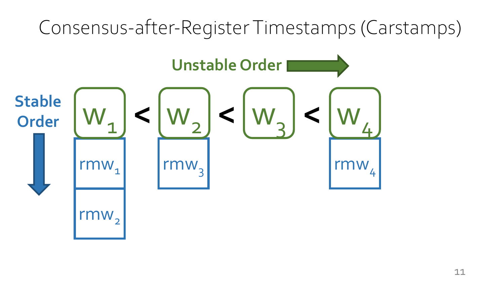# Consensus-after-Register Timestamps (Carstamps) rmw. rmw. rmw  $\text{rmw}_2$ **Unstable Order Stable**  $\leq$   $\lfloor w_{2} \rfloor < \lfloor w_{3} \rfloor < \lfloor w_{4} \rfloor$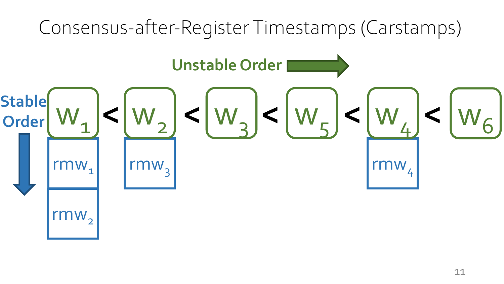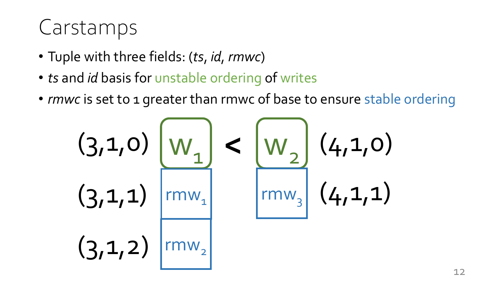#### Carstamps

- Tuple with three fields: (*ts*, *id*, *rmwc*)
- *ts* and *id* basis for unstable ordering of writes
- *rmwc* is set to 1 greater than rmwc of base to ensure stable ordering

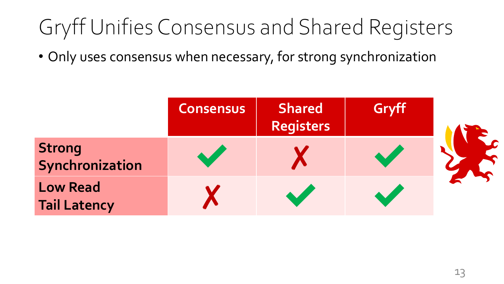## Gryff Unifies Consensus and Shared Registers

• Only uses consensus when necessary, for strong synchronization

|                                        | <b>Consensus</b> | <b>Shared</b><br><b>Registers</b> | Gryff |  |
|----------------------------------------|------------------|-----------------------------------|-------|--|
| <b>Strong</b><br>Synchronization       |                  |                                   |       |  |
| <b>Low Read</b><br><b>Tail Latency</b> |                  |                                   |       |  |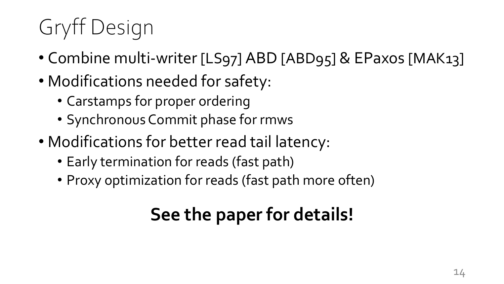# Gryff Design

- Combine multi-writer [LS97] ABD [ABD95] & EPaxos [MAK13]
- Modifications needed for safety:
	- Carstamps for proper ordering
	- Synchronous Commit phase for rmws
- Modifications for better read tail latency:
	- Early termination for reads (fast path)
	- Proxy optimization for reads (fast path more often)

#### **See the paper for details!**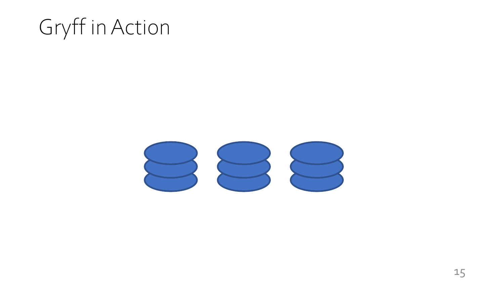### Gryff in Action

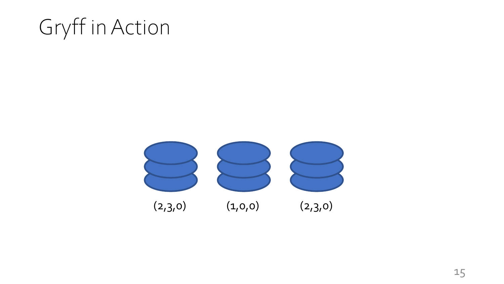### Gryff in Action

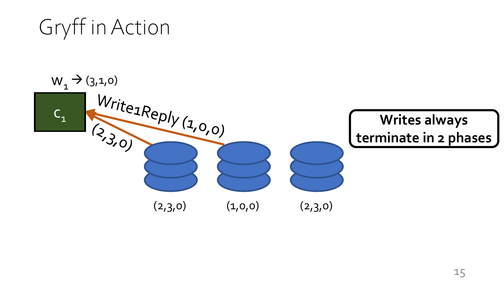Gryff in Action

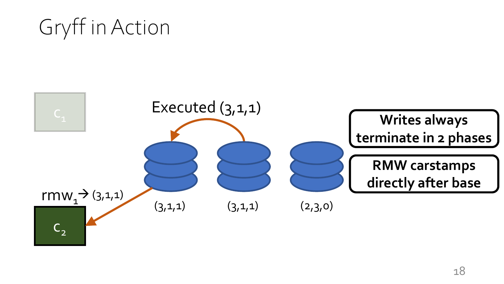#### Gryff in Action

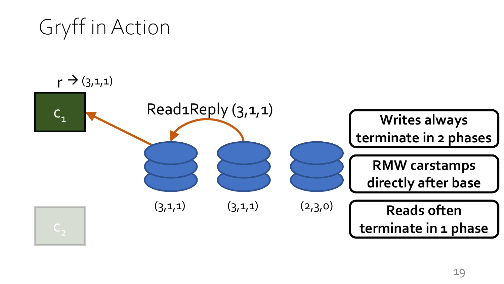Read1Reply (3,1,1)  $(3,1,1)$   $(3,1,1)$ Gryff in Action  $C_1$  $(2,3,0)$  $r \rightarrow (3,1,1)$ **Writes always terminate in 2 phases RMW carstamps directly after base Reads often terminate in 1 phase**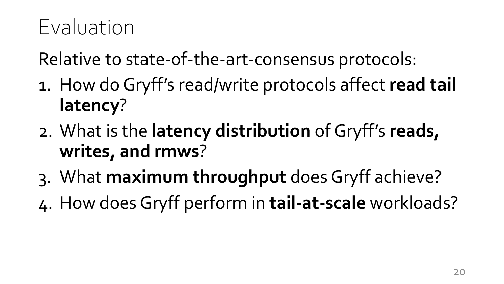### Evaluation

Relative to state-of-the-art-consensus protocols:

- 1. How do Gryff's read/write protocols affect **read tail latency**?
- 2. What is the **latency distribution** of Gryff's **reads, writes, and rmws**?
- 3. What **maximum throughput** does Gryff achieve?
- 4. How does Gryff perform in **tail-at-scale** workloads?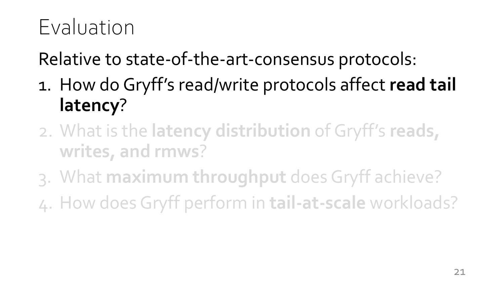### Evaluation

Relative to state-of-the-art-consensus protocols:

- 1. How do Gryff's read/write protocols affect **read tail latency**?
- 2. What is the **latency distribution** of Gryff's **reads, writes, and rmws**?
- 3. What **maximum throughput** does Gryff achieve?
- 4. How does Gryff perform in **tail-at-scale** workloads?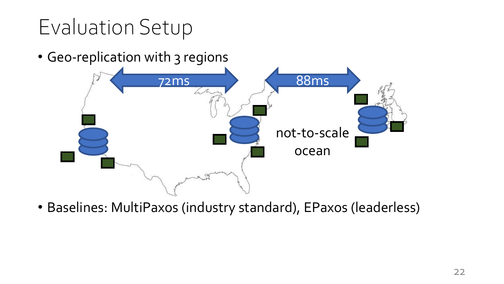## Evaluation Setup

• Geo-replication with 3 regions



• Baselines: MultiPaxos (industry standard), EPaxos (leaderless)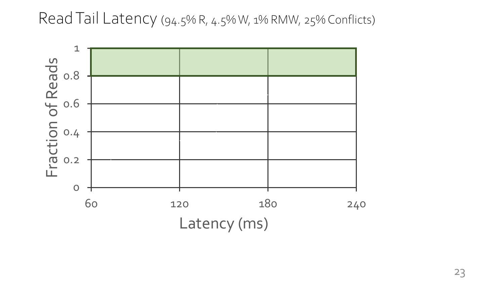#### Read Tail Latency (94.5% R, 4.5% W, 1% RMW, 25% Conflicts)



23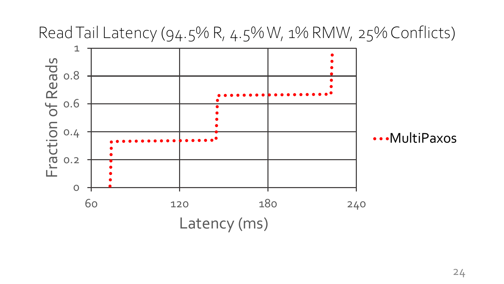

Read Tail Latency (94.5% R, 4.5% W, 1% RMW, 25% Conflicts)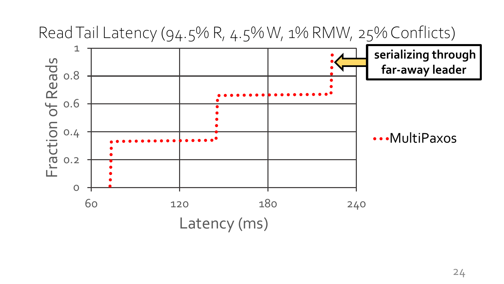

Read Tail Latency (94.5% R, 4.5% W, 1% RMW, 25% Conflicts)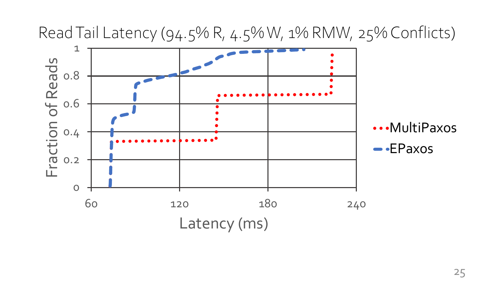

Read Tail Latency (94.5% R, 4.5% W, 1% RMW, 25% Conflicts)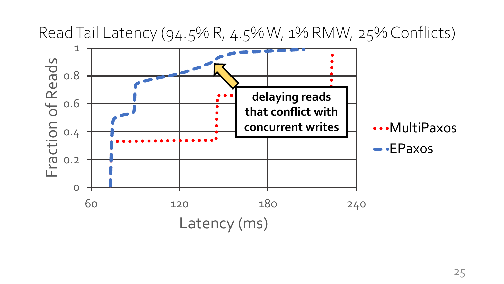

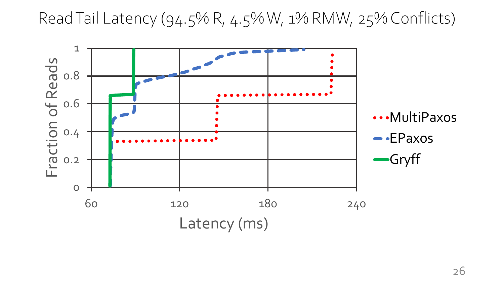Read Tail Latency (94.5% R, 4.5% W, 1% RMW, 25% Conflicts)

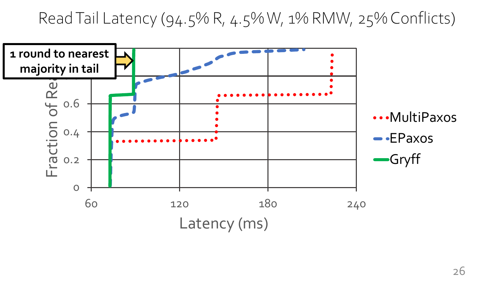Read Tail Latency (94.5% R, 4.5% W, 1% RMW, 25% Conflicts)



26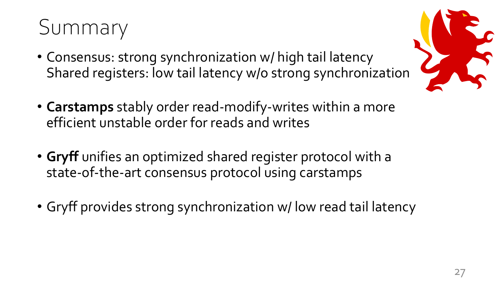#### Summary

- Consensus: strong synchronization w/ high tail latency Shared registers: low tail latency w/o strong synchronization
- **Carstamps** stably order read-modify-writes within a more efficient unstable order for reads and writes
- **Gryff** unifies an optimized shared register protocol with a state-of-the-art consensus protocol using carstamps
- Gryff provides strong synchronization w/ low read tail latency